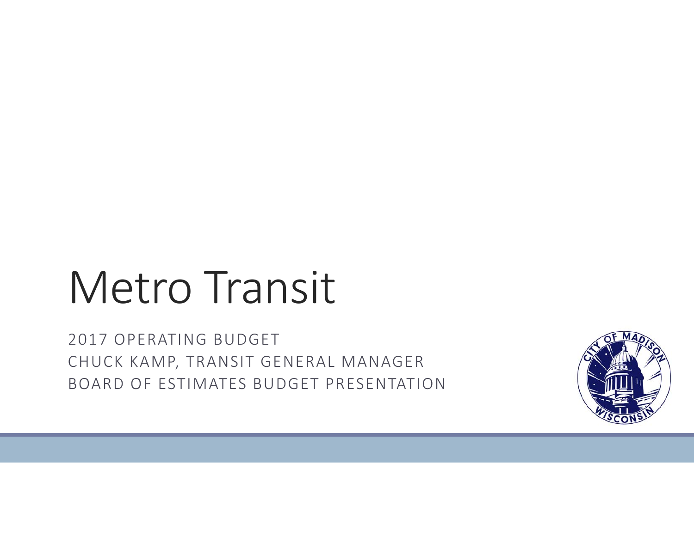# Metro Transit

2017 OPERATING BUDGET CHUCK KAMP, TRANSIT GENERAL MANAGER BOARD OF ESTIMATES BUDGET PRESENTATION

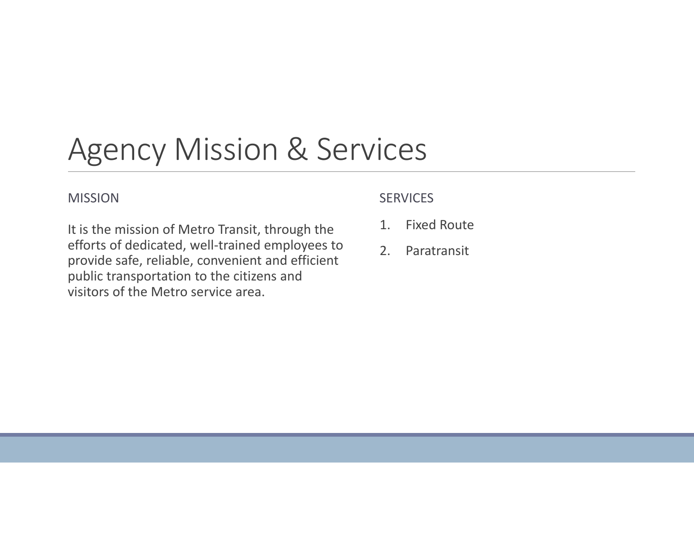## Agency Mission & Services

#### MISSION

#### **SERVICES**

It is the mission of Metro Transit, through the efforts of dedicated, well‐trained employees to provide safe, reliable, convenient and efficient public transportation to the citizens and visitors of the Metro service area.

- 1.Fixed Route
- 2.Paratransit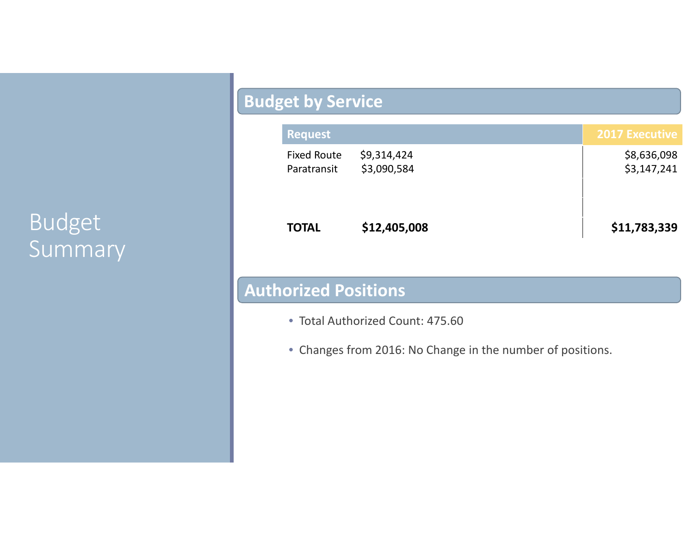### Budget Summary

#### **Budget by Service**

| <b>Request</b>                    |                            | <b>2017 Executive</b>      |
|-----------------------------------|----------------------------|----------------------------|
| <b>Fixed Route</b><br>Paratransit | \$9,314,424<br>\$3,090,584 | \$8,636,098<br>\$3,147,241 |
| <b>TOTAL</b>                      | \$12,405,008               | \$11,783,339               |

#### **Authorized Positions**

- Total Authorized Count: 475.60
- Changes from 2016: No Change in the number of positions.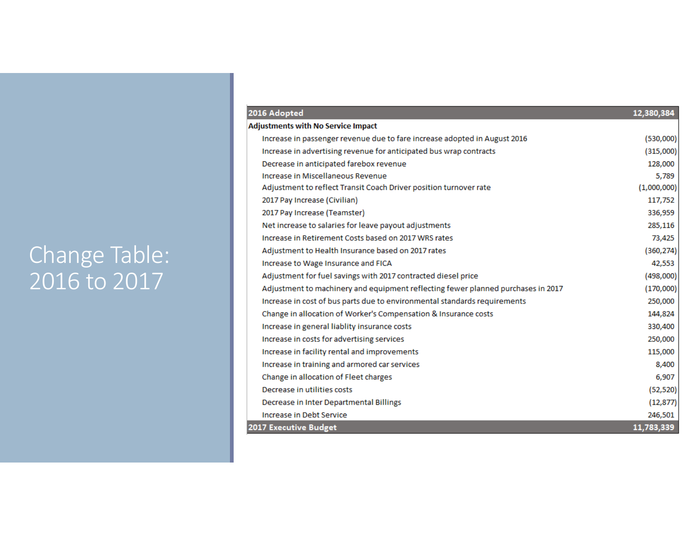### Change Table: 2016 to 2017

| 2016 Adopted                                                                     | 12,380,384  |  |
|----------------------------------------------------------------------------------|-------------|--|
| <b>Adjustments with No Service Impact</b>                                        |             |  |
| Increase in passenger revenue due to fare increase adopted in August 2016        | (530,000)   |  |
| Increase in advertising revenue for anticipated bus wrap contracts               | (315,000)   |  |
| Decrease in anticipated farebox revenue                                          | 128,000     |  |
| Increase in Miscellaneous Revenue                                                | 5,789       |  |
| Adjustment to reflect Transit Coach Driver position turnover rate                | (1,000,000) |  |
| 2017 Pay Increase (Civilian)                                                     | 117,752     |  |
| 2017 Pay Increase (Teamster)                                                     | 336,959     |  |
| Net increase to salaries for leave payout adjustments                            | 285,116     |  |
| Increase in Retirement Costs based on 2017 WRS rates                             | 73,425      |  |
| Adjustment to Health Insurance based on 2017 rates                               | (360, 274)  |  |
| Increase to Wage Insurance and FICA                                              | 42,553      |  |
| Adjustment for fuel savings with 2017 contracted diesel price                    | (498,000)   |  |
| Adjustment to machinery and equipment reflecting fewer planned purchases in 2017 | (170,000)   |  |
| Increase in cost of bus parts due to environmental standards requirements        | 250,000     |  |
| Change in allocation of Worker's Compensation & Insurance costs                  | 144,824     |  |
| Increase in general liablity insurance costs                                     | 330,400     |  |
| Increase in costs for advertising services                                       | 250,000     |  |
| Increase in facility rental and improvements                                     | 115,000     |  |
| Increase in training and armored car services                                    | 8,400       |  |
| Change in allocation of Fleet charges                                            | 6,907       |  |
| Decrease in utilities costs                                                      | (52, 520)   |  |
| Decrease in Inter Departmental Billings                                          | (12, 877)   |  |
| Increase in Debt Service                                                         | 246,501     |  |
| 2017 Executive Budget                                                            |             |  |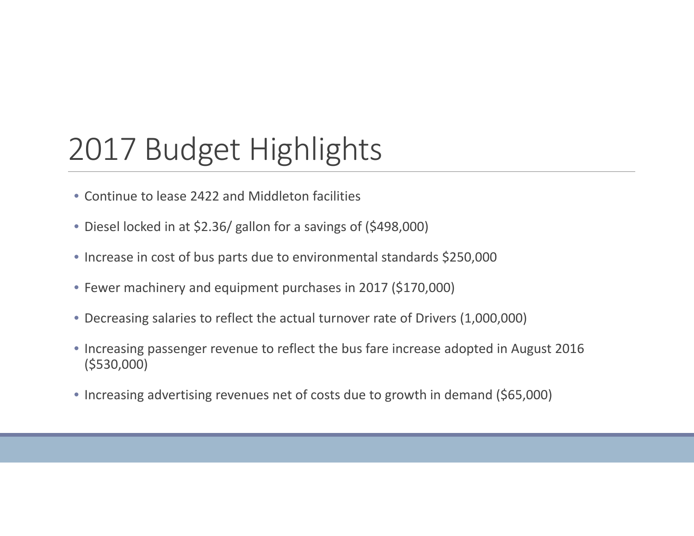# 2017 Budget Highlights

- Continue to lease 2422 and Middleton facilities
- Diesel locked in at \$2.36/ gallon for <sup>a</sup> savings of (\$498,000)
- Increase in cost of bus parts due to environmental standards \$250,000
- Fewer machinery and equipment purchases in 2017 (\$170,000)
- Decreasing salaries to reflect the actual turnover rate of Drivers (1,000,000)
- Increasing passenger revenue to reflect the bus fare increase adopted in August 2016 (\$530,000)
- Increasing advertising revenues net of costs due to growth in demand (\$65,000)